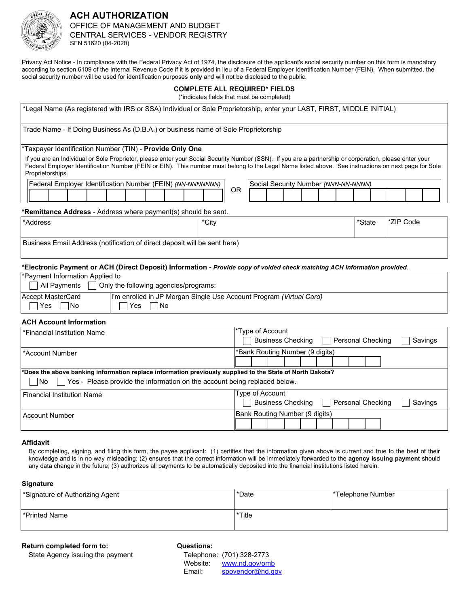

# **ACH AUTHORIZATION**  OFFICE OF MANAGEMENT AND BUDGET CENTRAL SERVICES - VENDOR REGISTRY SFN 51620 (04-2020)

Privacy Act Notice - In compliance with the Federal Privacy Act of 1974, the disclosure of the applicant's social security number on this form is mandatory according to section 6109 of the Internal Revenue Code if it is provided in lieu of a Federal Employer Identification Number (FEIN). When submitted, the social security number will be used for identification purposes **only** and will not be disclosed to the public.

## **COMPLETE ALL REQUIRED\* FIELDS**

(\*indicates fields that must be completed)

| *Legal Name (As registered with IRS or SSA) Individual or Sole Proprietorship, enter your LAST, FIRST, MIDDLE INITIAL)                                                                                                                                                                                                                                                                                                                                        |                                                                                                                                                                                                                                                                                                                         |  |  |
|---------------------------------------------------------------------------------------------------------------------------------------------------------------------------------------------------------------------------------------------------------------------------------------------------------------------------------------------------------------------------------------------------------------------------------------------------------------|-------------------------------------------------------------------------------------------------------------------------------------------------------------------------------------------------------------------------------------------------------------------------------------------------------------------------|--|--|
| Trade Name - If Doing Business As (D.B.A.) or business name of Sole Proprietorship                                                                                                                                                                                                                                                                                                                                                                            |                                                                                                                                                                                                                                                                                                                         |  |  |
| *Taxpayer Identification Number (TIN) - Provide Only One<br>If you are an Individual or Sole Proprietor, please enter your Social Security Number (SSN). If you are a partnership or corporation, please enter your<br>Federal Employer Identification Number (FEIN or EIN). This number must belong to the Legal Name listed above. See instructions on next page for Sole<br>Proprietorships.<br>Federal Employer Identification Number (FEIN) (NN-NNNNNNN) | Social Security Number (NNN-NN-NNNN)<br><b>OR</b>                                                                                                                                                                                                                                                                       |  |  |
| *Remittance Address - Address where payment(s) should be sent.                                                                                                                                                                                                                                                                                                                                                                                                |                                                                                                                                                                                                                                                                                                                         |  |  |
| *Address<br>*City                                                                                                                                                                                                                                                                                                                                                                                                                                             | *State<br>*ZIP Code                                                                                                                                                                                                                                                                                                     |  |  |
| Business Email Address (notification of direct deposit will be sent here)                                                                                                                                                                                                                                                                                                                                                                                     |                                                                                                                                                                                                                                                                                                                         |  |  |
| *Electronic Payment or ACH (Direct Deposit) Information - Provide copy of voided check matching ACH information provided.                                                                                                                                                                                                                                                                                                                                     |                                                                                                                                                                                                                                                                                                                         |  |  |
| *Payment Information Applied to<br>All Payments<br>Only the following agencies/programs:                                                                                                                                                                                                                                                                                                                                                                      |                                                                                                                                                                                                                                                                                                                         |  |  |
| <b>Accept MasterCard</b><br>I'm enrolled in JP Morgan Single Use Account Program (Virtual Card)<br>Yes<br>No<br> No<br>Yes                                                                                                                                                                                                                                                                                                                                    |                                                                                                                                                                                                                                                                                                                         |  |  |
| <b>ACH Account Information</b>                                                                                                                                                                                                                                                                                                                                                                                                                                |                                                                                                                                                                                                                                                                                                                         |  |  |
| *Financial Institution Name                                                                                                                                                                                                                                                                                                                                                                                                                                   | *Type of Account<br><b>Business Checking</b><br>Personal Checking<br>Savings                                                                                                                                                                                                                                            |  |  |
| *Account Number                                                                                                                                                                                                                                                                                                                                                                                                                                               | *Bank Routing Number (9 digits)                                                                                                                                                                                                                                                                                         |  |  |
| *Does the above banking information replace information previously supplied to the State of North Dakota?<br>Yes - Please provide the information on the account being replaced below.<br>No                                                                                                                                                                                                                                                                  |                                                                                                                                                                                                                                                                                                                         |  |  |
| <b>Financial Institution Name</b>                                                                                                                                                                                                                                                                                                                                                                                                                             | Type of Account<br><b>Business Checking</b><br>Personal Checking<br>Savings                                                                                                                                                                                                                                             |  |  |
| <b>Account Number</b>                                                                                                                                                                                                                                                                                                                                                                                                                                         | Bank Routing Number (9 digits)                                                                                                                                                                                                                                                                                          |  |  |
| <b>Affidavit</b><br>any data change in the future; (3) authorizes all payments to be automatically deposited into the financial institutions listed herein.<br><b>Signature</b>                                                                                                                                                                                                                                                                               | By completing, signing, and filing this form, the payee applicant: (1) certifies that the information given above is current and true to the best of their<br>knowledge and is in no way misleading; (2) ensures that the correct information will be immediately forwarded to the <b>agency issuing payment</b> should |  |  |

| Signature of Authorizing Agent* | *Date  | *Telephone Number |
|---------------------------------|--------|-------------------|
| l *Printed Name⊹                | *Title |                   |

**Return completed form to:**

State Agency issuing the payment

## **Questions:**

|          | Telephone: (701) 328-2773 |
|----------|---------------------------|
| Website: | www.nd.gov/omb            |
| Email:   | spovendor@nd.gov          |
|          |                           |